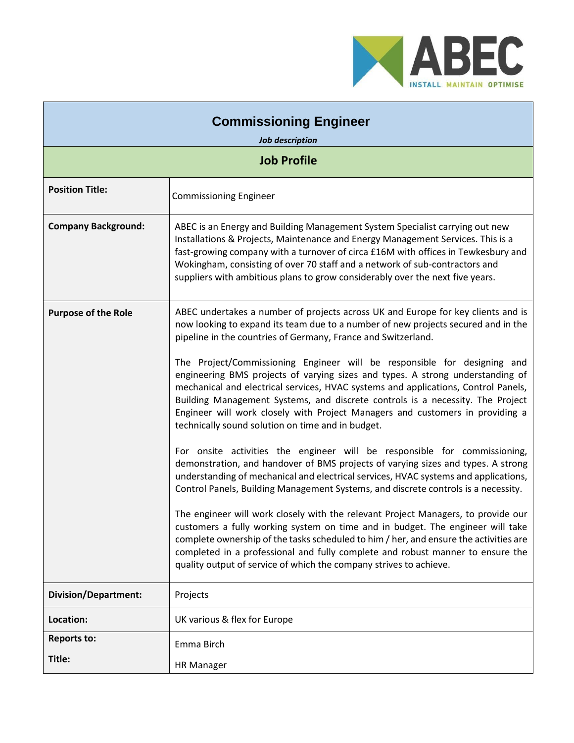

| <b>Commissioning Engineer</b><br><b>Job description</b> |                                                                                                                                                                                                                                                                                                                                                                                                                                                                          |  |
|---------------------------------------------------------|--------------------------------------------------------------------------------------------------------------------------------------------------------------------------------------------------------------------------------------------------------------------------------------------------------------------------------------------------------------------------------------------------------------------------------------------------------------------------|--|
| <b>Job Profile</b>                                      |                                                                                                                                                                                                                                                                                                                                                                                                                                                                          |  |
| <b>Position Title:</b>                                  | <b>Commissioning Engineer</b>                                                                                                                                                                                                                                                                                                                                                                                                                                            |  |
| <b>Company Background:</b>                              | ABEC is an Energy and Building Management System Specialist carrying out new<br>Installations & Projects, Maintenance and Energy Management Services. This is a<br>fast-growing company with a turnover of circa £16M with offices in Tewkesbury and<br>Wokingham, consisting of over 70 staff and a network of sub-contractors and<br>suppliers with ambitious plans to grow considerably over the next five years.                                                     |  |
| <b>Purpose of the Role</b>                              | ABEC undertakes a number of projects across UK and Europe for key clients and is<br>now looking to expand its team due to a number of new projects secured and in the<br>pipeline in the countries of Germany, France and Switzerland.                                                                                                                                                                                                                                   |  |
|                                                         | The Project/Commissioning Engineer will be responsible for designing and<br>engineering BMS projects of varying sizes and types. A strong understanding of<br>mechanical and electrical services, HVAC systems and applications, Control Panels,<br>Building Management Systems, and discrete controls is a necessity. The Project<br>Engineer will work closely with Project Managers and customers in providing a<br>technically sound solution on time and in budget. |  |
|                                                         | For onsite activities the engineer will be responsible for commissioning,<br>demonstration, and handover of BMS projects of varying sizes and types. A strong<br>understanding of mechanical and electrical services, HVAC systems and applications,<br>Control Panels, Building Management Systems, and discrete controls is a necessity.                                                                                                                               |  |
|                                                         | The engineer will work closely with the relevant Project Managers, to provide our<br>customers a fully working system on time and in budget. The engineer will take<br>complete ownership of the tasks scheduled to him / her, and ensure the activities are<br>completed in a professional and fully complete and robust manner to ensure the<br>quality output of service of which the company strives to achieve.                                                     |  |
| <b>Division/Department:</b>                             | Projects                                                                                                                                                                                                                                                                                                                                                                                                                                                                 |  |
| Location:                                               | UK various & flex for Europe                                                                                                                                                                                                                                                                                                                                                                                                                                             |  |
| <b>Reports to:</b>                                      | Emma Birch                                                                                                                                                                                                                                                                                                                                                                                                                                                               |  |
| Title:                                                  | <b>HR Manager</b>                                                                                                                                                                                                                                                                                                                                                                                                                                                        |  |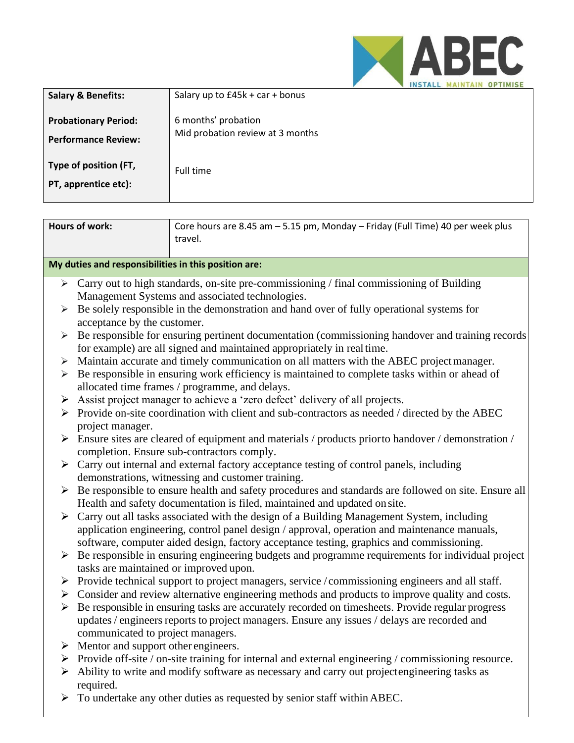

| <b>Salary &amp; Benefits:</b>                             | Salary up to $£45k + car + bonus$                       |
|-----------------------------------------------------------|---------------------------------------------------------|
| <b>Probationary Period:</b><br><b>Performance Review:</b> | 6 months' probation<br>Mid probation review at 3 months |
| Type of position (FT,<br>PT, apprentice etc):             | Full time                                               |

| Hours of work: | Core hours are 8.45 am - 5.15 pm, Monday - Friday (Full Time) 40 per week plus |
|----------------|--------------------------------------------------------------------------------|
|                | travel.                                                                        |
|                |                                                                                |

# **My duties and responsibilities in this position are:**

- ➢ Carry out to high standards, on-site pre-commissioning / final commissioning of Building Management Systems and associated technologies.
- $\triangleright$  Be solely responsible in the demonstration and hand over of fully operational systems for acceptance by the customer.
- ➢ Be responsible for ensuring pertinent documentation (commissioning handover and training records for example) are all signed and maintained appropriately in realtime.
- ➢ Maintain accurate and timely communication on all matters with the ABEC projectmanager.
- $\triangleright$  Be responsible in ensuring work efficiency is maintained to complete tasks within or ahead of allocated time frames / programme, and delays.
- ➢ Assist project manager to achieve a 'zero defect' delivery of all projects.
- ➢ Provide on-site coordination with client and sub-contractors as needed / directed by the ABEC project manager.
- ➢ Ensure sites are cleared of equipment and materials / products priorto handover / demonstration / completion. Ensure sub-contractors comply.
- ➢ Carry out internal and external factory acceptance testing of control panels, including demonstrations, witnessing and customer training.
- ➢ Be responsible to ensure health and safety procedures and standards are followed on site. Ensure all Health and safety documentation is filed, maintained and updated on site.
- ➢ Carry out all tasks associated with the design of a Building Management System, including application engineering, control panel design / approval, operation and maintenance manuals, software, computer aided design, factory acceptance testing, graphics and commissioning.
- ➢ Be responsible in ensuring engineering budgets and programme requirements for individual project tasks are maintained or improved upon.
- ➢ Provide technical support to project managers, service / commissioning engineers and all staff.
- ➢ Consider and review alternative engineering methods and products to improve quality and costs.
- $\triangleright$  Be responsible in ensuring tasks are accurately recorded on timesheets. Provide regular progress updates / engineers reports to project managers. Ensure any issues / delays are recorded and communicated to project managers.
- $\triangleright$  Mentor and support other engineers.
- ➢ Provide off-site / on-site training for internal and external engineering / commissioning resource.
- ➢ Ability to write and modify software as necessary and carry out projectengineering tasks as required.
- ➢ To undertake any other duties as requested by senior staff within ABEC.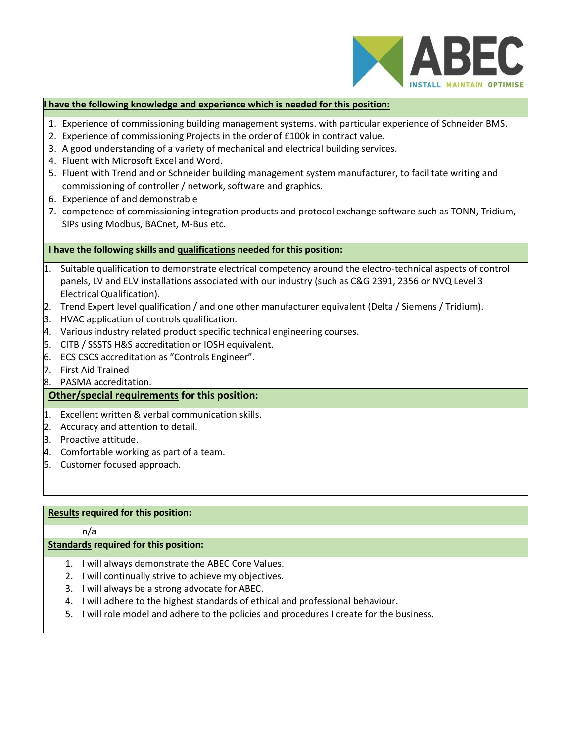

## **I have the following knowledge and experience which is needed for this position:**

- 1. Experience of commissioning building management systems. with particular experience of Schneider BMS.
- 2. Experience of commissioning Projects in the order of £100k in contract value.
- 3. A good understanding of a variety of mechanical and electrical building services.
- 4. Fluent with Microsoft Excel and Word.
- 5. Fluent with Trend and or Schneider building management system manufacturer, to facilitate writing and commissioning of controller / network, software and graphics.
- 6. Experience of and demonstrable
- 7. competence of commissioning integration products and protocol exchange software such as TONN, Tridium, SIPs using Modbus, BACnet, M-Bus etc.

### **I have the following skills and qualifications needed for this position:**

- 1. Suitable qualification to demonstrate electrical competency around the electro-technical aspects of control panels, LV and ELV installations associated with our industry (such as C&G 2391, 2356 or NVQ Level 3 Electrical Qualification).
- 2. Trend Expert level qualification / and one other manufacturer equivalent (Delta / Siemens / Tridium).
- 3. HVAC application of controls qualification.
- 4. Various industry related product specific technical engineering courses.
- 5. CITB / SSSTS H&S accreditation or IOSH equivalent.
- 6. ECS CSCS accreditation as "Controls Engineer".
- 7. First Aid Trained
- 8. PASMA accreditation.

### **Other/special requirements for this position:**

- 1. Excellent written & verbal communication skills.
- 2. Accuracy and attention to detail.
- 3. Proactive attitude.
- 4. Comfortable working as part of a team.
- 5. Customer focused approach.

#### **Results required for this position:**

#### n/a

### **Standards required for this position:**

- 1. I will always demonstrate the ABEC Core Values.
- 2. I will continually strive to achieve my objectives.
- 3. I will always be a strong advocate for ABEC.
- 4. I will adhere to the highest standards of ethical and professional behaviour.
- 5. I will role model and adhere to the policies and procedures I create for the business.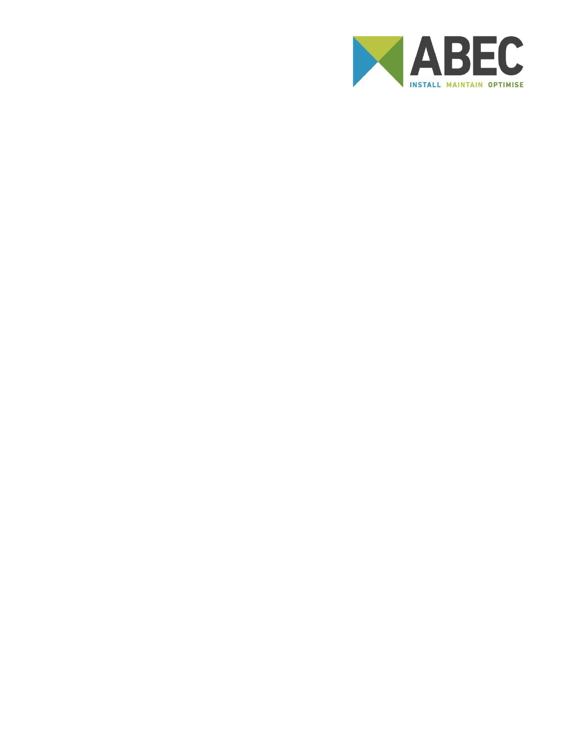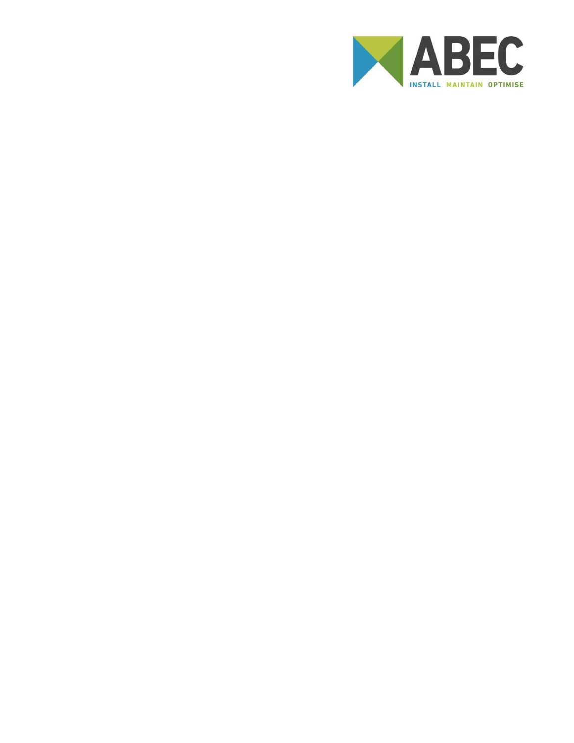